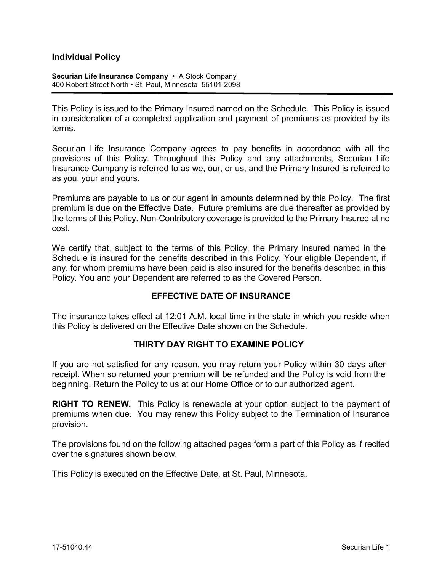# **Individual Policy**

**Securian Life Insurance Company** • A Stock Company 400 Robert Street North • St. Paul, Minnesota 55101-2098

This Policy is issued to the Primary Insured named on the Schedule. This Policy is issued in consideration of a completed application and payment of premiums as provided by its terms.

Securian Life Insurance Company agrees to pay benefits in accordance with all the provisions of this Policy. Throughout this Policy and any attachments, Securian Life Insurance Company is referred to as we, our, or us, and the Primary Insured is referred to as you, your and yours.

Premiums are payable to us or our agent in amounts determined by this Policy. The first premium is due on the Effective Date. Future premiums are due thereafter as provided by the terms of this Policy. Non-Contributory coverage is provided to the Primary Insured at no cost.

We certify that, subject to the terms of this Policy, the Primary Insured named in the Schedule is insured for the benefits described in this Policy. Your eligible Dependent, if any, for whom premiums have been paid is also insured for the benefits described in this Policy. You and your Dependent are referred to as the Covered Person.

#### **EFFECTIVE DATE OF INSURANCE**

The insurance takes effect at 12:01 A.M. local time in the state in which you reside when this Policy is delivered on the Effective Date shown on the Schedule.

#### **THIRTY DAY RIGHT TO EXAMINE POLICY**

If you are not satisfied for any reason, you may return your Policy within 30 days after receipt. When so returned your premium will be refunded and the Policy is void from the beginning. Return the Policy to us at our Home Office or to our authorized agent.

**RIGHT TO RENEW.** This Policy is renewable at your option subject to the payment of premiums when due. You may renew this Policy subject to the Termination of Insurance provision.

The provisions found on the following attached pages form a part of this Policy as if recited over the signatures shown below.

This Policy is executed on the Effective Date, at St. Paul, Minnesota.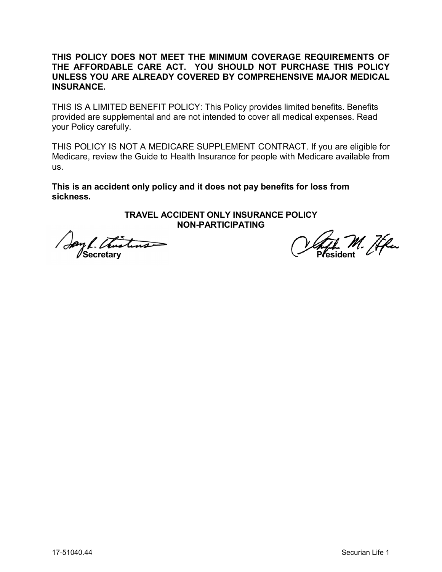# **THIS POLICY DOES NOT MEET THE MINIMUM COVERAGE REQUIREMENTS OF THE AFFORDABLE CARE ACT. YOU SHOULD NOT PURCHASE THIS POLICY UNLESS YOU ARE ALREADY COVERED BY COMPREHENSIVE MAJOR MEDICAL INSURANCE.**

THIS IS A LIMITED BENEFIT POLICY: This Policy provides limited benefits. Benefits provided are supplemental and are not intended to cover all medical expenses. Read your Policy carefully.

THIS POLICY IS NOT A MEDICARE SUPPLEMENT CONTRACT. If you are eligible for Medicare, review the Guide to Health Insurance for people with Medicare available from us.

**This is an accident only policy and it does not pay benefits for loss from sickness.**

## **TRAVEL ACCIDENT ONLY INSURANCE POLICY NON-PARTICIPATING**

Say L. Thustons Secretary 1944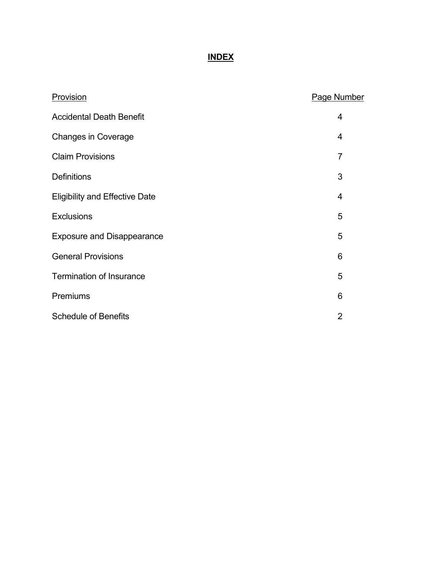# **INDEX**

| Provision                             | <b>Page Number</b> |
|---------------------------------------|--------------------|
| <b>Accidental Death Benefit</b>       | 4                  |
| <b>Changes in Coverage</b>            | $\overline{4}$     |
| <b>Claim Provisions</b>               | $\overline{7}$     |
| <b>Definitions</b>                    | 3                  |
| <b>Eligibility and Effective Date</b> | $\overline{4}$     |
| <b>Exclusions</b>                     | 5                  |
| <b>Exposure and Disappearance</b>     | 5                  |
| <b>General Provisions</b>             | $6\phantom{1}6$    |
| <b>Termination of Insurance</b>       | 5                  |
| Premiums                              | 6                  |
| <b>Schedule of Benefits</b>           | $\overline{2}$     |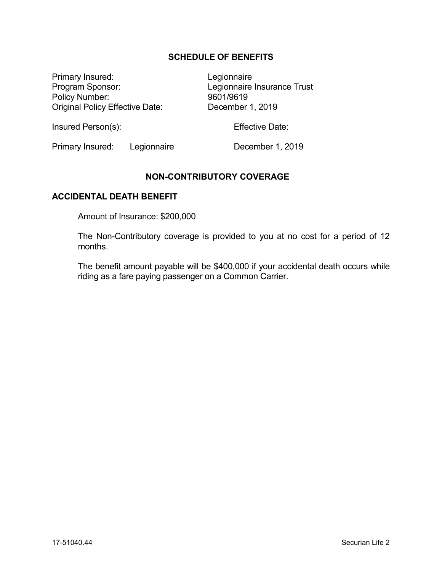# **SCHEDULE OF BENEFITS**

Primary Insured: Legionnaire Program Sponsor:<br>
Policy Number:<br>
Policy Number:<br>
9601/9619 Policy Number: Original Policy Effective Date: December 1, 2019

Insured Person(s): The Contract Effective Date:

Primary Insured: Legionnaire December 1, 2019

## **NON-CONTRIBUTORY COVERAGE**

## **ACCIDENTAL DEATH BENEFIT**

Amount of Insurance: \$200,000

The Non-Contributory coverage is provided to you at no cost for a period of 12 months.

The benefit amount payable will be \$400,000 if your accidental death occurs while riding as a fare paying passenger on a Common Carrier.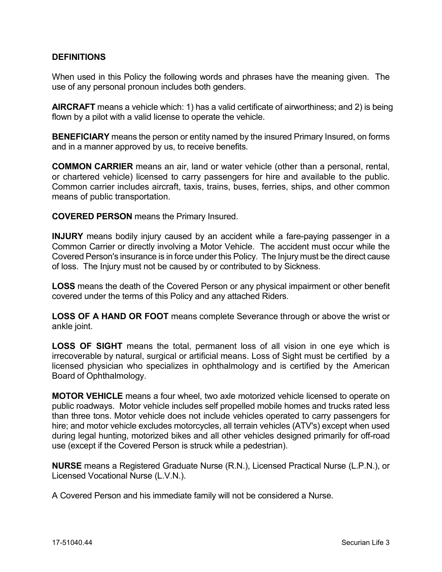# **DEFINITIONS**

When used in this Policy the following words and phrases have the meaning given. The use of any personal pronoun includes both genders.

**AIRCRAFT** means a vehicle which: 1) has a valid certificate of airworthiness; and 2) is being flown by a pilot with a valid license to operate the vehicle.

**BENEFICIARY** means the person or entity named by the insured Primary Insured, on forms and in a manner approved by us, to receive benefits.

**COMMON CARRIER** means an air, land or water vehicle (other than a personal, rental, or chartered vehicle) licensed to carry passengers for hire and available to the public. Common carrier includes aircraft, taxis, trains, buses, ferries, ships, and other common means of public transportation.

**COVERED PERSON** means the Primary Insured.

**INJURY** means bodily injury caused by an accident while a fare-paying passenger in a Common Carrier or directly involving a Motor Vehicle. The accident must occur while the Covered Person's insurance is in force under this Policy. The Injury must be the direct cause of loss. The Injury must not be caused by or contributed to by Sickness.

**LOSS** means the death of the Covered Person or any physical impairment or other benefit covered under the terms of this Policy and any attached Riders.

**LOSS OF A HAND OR FOOT** means complete Severance through or above the wrist or ankle joint.

**LOSS OF SIGHT** means the total, permanent loss of all vision in one eye which is irrecoverable by natural, surgical or artificial means. Loss of Sight must be certified by a licensed physician who specializes in ophthalmology and is certified by the American Board of Ophthalmology.

**MOTOR VEHICLE** means a four wheel, two axle motorized vehicle licensed to operate on public roadways. Motor vehicle includes self propelled mobile homes and trucks rated less than three tons. Motor vehicle does not include vehicles operated to carry passengers for hire; and motor vehicle excludes motorcycles, all terrain vehicles (ATV's) except when used during legal hunting, motorized bikes and all other vehicles designed primarily for off-road use (except if the Covered Person is struck while a pedestrian).

**NURSE** means a Registered Graduate Nurse (R.N.), Licensed Practical Nurse (L.P.N.), or Licensed Vocational Nurse (L.V.N.).

A Covered Person and his immediate family will not be considered a Nurse.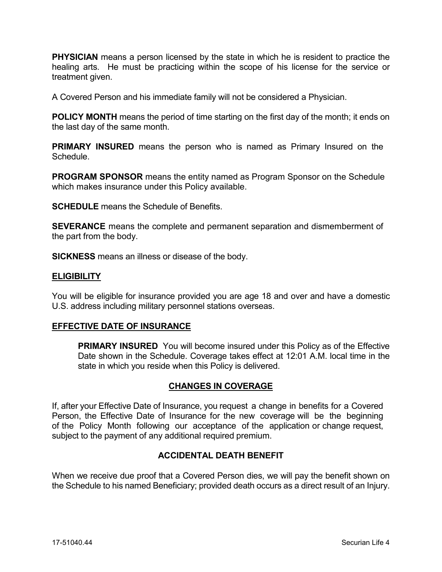**PHYSICIAN** means a person licensed by the state in which he is resident to practice the healing arts. He must be practicing within the scope of his license for the service or treatment given.

A Covered Person and his immediate family will not be considered a Physician.

**POLICY MONTH** means the period of time starting on the first day of the month; it ends on the last day of the same month.

**PRIMARY INSURED** means the person who is named as Primary Insured on the Schedule.

**PROGRAM SPONSOR** means the entity named as Program Sponsor on the Schedule which makes insurance under this Policy available.

**SCHEDULE** means the Schedule of Benefits.

**SEVERANCE** means the complete and permanent separation and dismemberment of the part from the body.

**SICKNESS** means an illness or disease of the body.

#### **ELIGIBILITY**

You will be eligible for insurance provided you are age 18 and over and have a domestic U.S. address including military personnel stations overseas.

#### **EFFECTIVE DATE OF INSURANCE**

**PRIMARY INSURED** You will become insured under this Policy as of the Effective Date shown in the Schedule. Coverage takes effect at 12:01 A.M. local time in the state in which you reside when this Policy is delivered.

# **CHANGES IN COVERAGE**

If, after your Effective Date of Insurance, you request a change in benefits for a Covered Person, the Effective Date of Insurance for the new coverage will be the beginning of the Policy Month following our acceptance of the application or change request, subject to the payment of any additional required premium.

### **ACCIDENTAL DEATH BENEFIT**

When we receive due proof that a Covered Person dies, we will pay the benefit shown on the Schedule to his named Beneficiary; provided death occurs as a direct result of an Injury.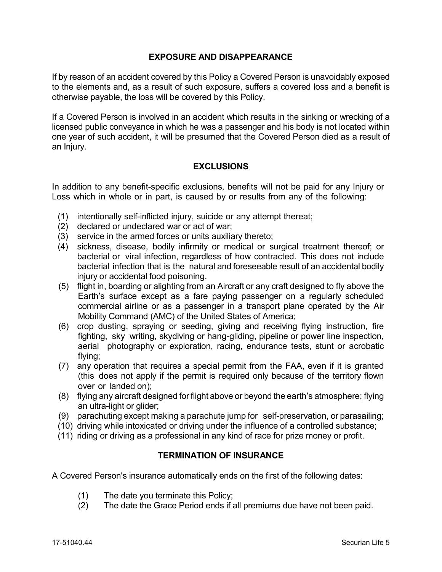# **EXPOSURE AND DISAPPEARANCE**

If by reason of an accident covered by this Policy a Covered Person is unavoidably exposed to the elements and, as a result of such exposure, suffers a covered loss and a benefit is otherwise payable, the loss will be covered by this Policy.

If a Covered Person is involved in an accident which results in the sinking or wrecking of a licensed public conveyance in which he was a passenger and his body is not located within one year of such accident, it will be presumed that the Covered Person died as a result of an Injury.

# **EXCLUSIONS**

In addition to any benefit-specific exclusions, benefits will not be paid for any Injury or Loss which in whole or in part, is caused by or results from any of the following:

- (1) intentionally self-inflicted injury, suicide or any attempt thereat;
- (2) declared or undeclared war or act of war;
- (3) service in the armed forces or units auxiliary thereto;
- (4) sickness, disease, bodily infirmity or medical or surgical treatment thereof; or bacterial or viral infection, regardless of how contracted. This does not include bacterial infection that is the natural and foreseeable result of an accidental bodily injury or accidental food poisoning.
- (5) flight in, boarding or alighting from an Aircraft or any craft designed to fly above the Earth's surface except as a fare paying passenger on a regularly scheduled commercial airline or as a passenger in a transport plane operated by the Air Mobility Command (AMC) of the United States of America;
- (6) crop dusting, spraying or seeding, giving and receiving flying instruction, fire fighting, sky writing, skydiving or hang-gliding, pipeline or power line inspection, aerial photography or exploration, racing, endurance tests, stunt or acrobatic flying;
- (7) any operation that requires a special permit from the FAA, even if it is granted (this does not apply if the permit is required only because of the territory flown over or landed on);
- (8) flying any aircraft designed for flight above or beyond the earth's atmosphere; flying an ultra-light or glider;
- (9) parachuting except making a parachute jump for self-preservation, or parasailing;
- (10) driving while intoxicated or driving under the influence of a controlled substance;
- (11) riding or driving as a professional in any kind of race for prize money or profit.

# **TERMINATION OF INSURANCE**

A Covered Person's insurance automatically ends on the first of the following dates:

- (1) The date you terminate this Policy;
- (2) The date the Grace Period ends if all premiums due have not been paid.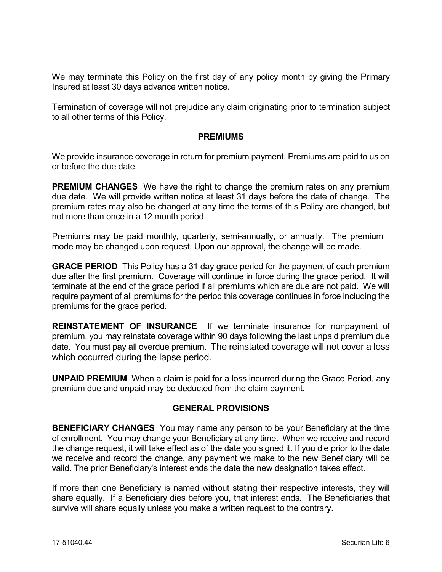We may terminate this Policy on the first day of any policy month by giving the Primary Insured at least 30 days advance written notice.

Termination of coverage will not prejudice any claim originating prior to termination subject to all other terms of this Policy.

## **PREMIUMS**

We provide insurance coverage in return for premium payment. Premiums are paid to us on or before the due date.

**PREMIUM CHANGES** We have the right to change the premium rates on any premium due date. We will provide written notice at least 31 days before the date of change. The premium rates may also be changed at any time the terms of this Policy are changed, but not more than once in a 12 month period.

Premiums may be paid monthly, quarterly, semi-annually, or annually. The premium mode may be changed upon request. Upon our approval, the change will be made.

**GRACE PERIOD** This Policy has a 31 day grace period for the payment of each premium due after the first premium. Coverage will continue in force during the grace period. It will terminate at the end of the grace period if all premiums which are due are not paid. We will require payment of all premiums for the period this coverage continues in force including the premiums for the grace period.

**REINSTATEMENT OF INSURANCE** If we terminate insurance for nonpayment of premium, you may reinstate coverage within 90 days following the last unpaid premium due date. You must pay all overdue premium. The reinstated coverage will not cover a loss which occurred during the lapse period.

**UNPAID PREMIUM** When a claim is paid for a loss incurred during the Grace Period, any premium due and unpaid may be deducted from the claim payment.

# **GENERAL PROVISIONS**

**BENEFICIARY CHANGES** You may name any person to be your Beneficiary at the time of enrollment. You may change your Beneficiary at any time. When we receive and record the change request, it will take effect as of the date you signed it. If you die prior to the date we receive and record the change, any payment we make to the new Beneficiary will be valid. The prior Beneficiary's interest ends the date the new designation takes effect.

If more than one Beneficiary is named without stating their respective interests, they will share equally. If a Beneficiary dies before you, that interest ends. The Beneficiaries that survive will share equally unless you make a written request to the contrary.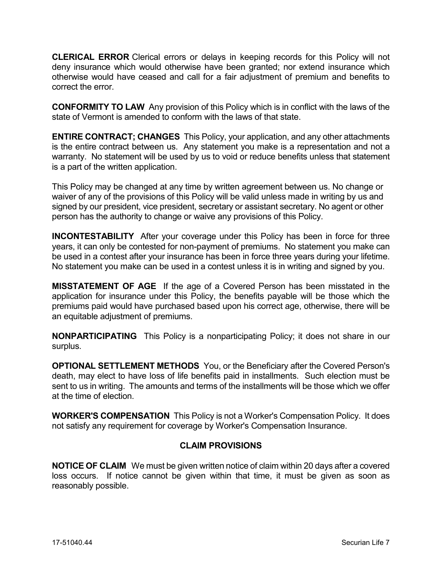**CLERICAL ERROR** Clerical errors or delays in keeping records for this Policy will not deny insurance which would otherwise have been granted; nor extend insurance which otherwise would have ceased and call for a fair adjustment of premium and benefits to correct the error.

**CONFORMITY TO LAW** Any provision of this Policy which is in conflict with the laws of the state of Vermont is amended to conform with the laws of that state.

**ENTIRE CONTRACT; CHANGES** This Policy, your application, and any other attachments is the entire contract between us. Any statement you make is a representation and not a warranty. No statement will be used by us to void or reduce benefits unless that statement is a part of the written application.

This Policy may be changed at any time by written agreement between us. No change or waiver of any of the provisions of this Policy will be valid unless made in writing by us and signed by our president, vice president, secretary or assistant secretary. No agent or other person has the authority to change or waive any provisions of this Policy.

**INCONTESTABILITY** After your coverage under this Policy has been in force for three years, it can only be contested for non-payment of premiums. No statement you make can be used in a contest after your insurance has been in force three years during your lifetime. No statement you make can be used in a contest unless it is in writing and signed by you.

**MISSTATEMENT OF AGE** If the age of a Covered Person has been misstated in the application for insurance under this Policy, the benefits payable will be those which the premiums paid would have purchased based upon his correct age, otherwise, there will be an equitable adjustment of premiums.

**NONPARTICIPATING** This Policy is a nonparticipating Policy; it does not share in our surplus.

**OPTIONAL SETTLEMENT METHODS** You, or the Beneficiary after the Covered Person's death, may elect to have loss of life benefits paid in installments. Such election must be sent to us in writing. The amounts and terms of the installments will be those which we offer at the time of election.

**WORKER'S COMPENSATION** This Policy is not a Worker's Compensation Policy. It does not satisfy any requirement for coverage by Worker's Compensation Insurance.

# **CLAIM PROVISIONS**

**NOTICE OF CLAIM** We must be given written notice of claim within 20 days after a covered loss occurs. If notice cannot be given within that time, it must be given as soon as reasonably possible.